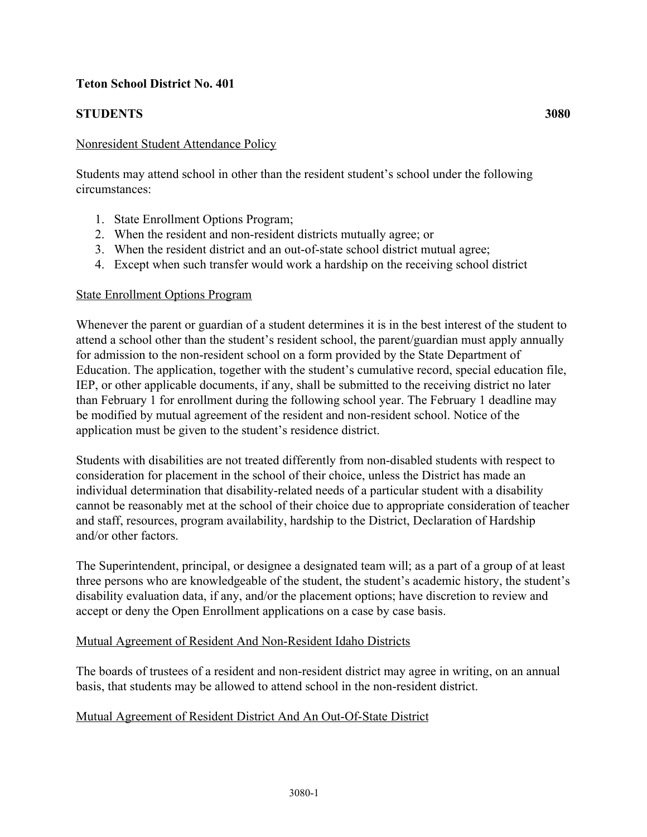## **Teton School District No. 401**

# **STUDENTS 3080**

### Nonresident Student Attendance Policy

Students may attend school in other than the resident student's school under the following circumstances:

- 1. State Enrollment Options Program;
- 2. When the resident and non-resident districts mutually agree; or
- 3. When the resident district and an out-of-state school district mutual agree;
- 4. Except when such transfer would work a hardship on the receiving school district

#### State Enrollment Options Program

Whenever the parent or guardian of a student determines it is in the best interest of the student to attend a school other than the student's resident school, the parent/guardian must apply annually for admission to the non-resident school on a form provided by the State Department of Education. The application, together with the student's cumulative record, special education file, IEP, or other applicable documents, if any, shall be submitted to the receiving district no later than February 1 for enrollment during the following school year. The February 1 deadline may be modified by mutual agreement of the resident and non-resident school. Notice of the application must be given to the student's residence district.

Students with disabilities are not treated differently from non-disabled students with respect to consideration for placement in the school of their choice, unless the District has made an individual determination that disability-related needs of a particular student with a disability cannot be reasonably met at the school of their choice due to appropriate consideration of teacher and staff, resources, program availability, hardship to the District, Declaration of Hardship and/or other factors.

The Superintendent, principal, or designee a designated team will; as a part of a group of at least three persons who are knowledgeable of the student, the student's academic history, the student's disability evaluation data, if any, and/or the placement options; have discretion to review and accept or deny the Open Enrollment applications on a case by case basis.

#### Mutual Agreement of Resident And Non-Resident Idaho Districts

The boards of trustees of a resident and non-resident district may agree in writing, on an annual basis, that students may be allowed to attend school in the non-resident district.

### Mutual Agreement of Resident District And An Out-Of-State District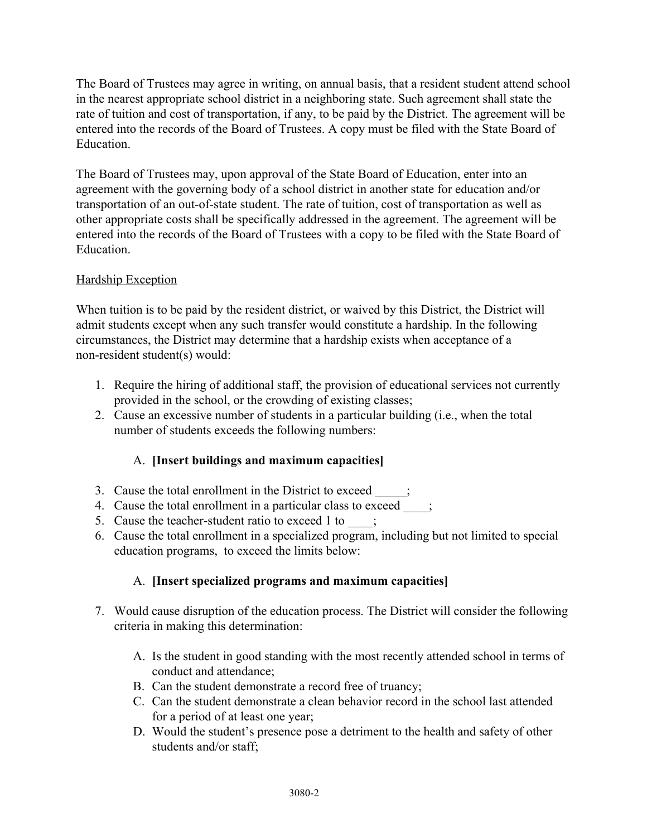The Board of Trustees may agree in writing, on annual basis, that a resident student attend school in the nearest appropriate school district in a neighboring state. Such agreement shall state the rate of tuition and cost of transportation, if any, to be paid by the District. The agreement will be entered into the records of the Board of Trustees. A copy must be filed with the State Board of Education.

The Board of Trustees may, upon approval of the State Board of Education, enter into an agreement with the governing body of a school district in another state for education and/or transportation of an out-of-state student. The rate of tuition, cost of transportation as well as other appropriate costs shall be specifically addressed in the agreement. The agreement will be entered into the records of the Board of Trustees with a copy to be filed with the State Board of **Education** 

## Hardship Exception

When tuition is to be paid by the resident district, or waived by this District, the District will admit students except when any such transfer would constitute a hardship. In the following circumstances, the District may determine that a hardship exists when acceptance of a non-resident student(s) would:

- 1. Require the hiring of additional staff, the provision of educational services not currently provided in the school, or the crowding of existing classes;
- 2. Cause an excessive number of students in a particular building (i.e., when the total number of students exceeds the following numbers:

# A. **[Insert buildings and maximum capacities]**

- 3. Cause the total enrollment in the District to exceed
- 4. Cause the total enrollment in a particular class to exceed  $\qquad$ ;
- 5. Cause the teacher-student ratio to exceed 1 to \_\_\_\_;
- 6. Cause the total enrollment in a specialized program, including but not limited to special education programs, to exceed the limits below:

# A. **[Insert specialized programs and maximum capacities]**

- 7. Would cause disruption of the education process. The District will consider the following criteria in making this determination:
	- A. Is the student in good standing with the most recently attended school in terms of conduct and attendance;
	- B. Can the student demonstrate a record free of truancy;
	- C. Can the student demonstrate a clean behavior record in the school last attended for a period of at least one year;
	- D. Would the student's presence pose a detriment to the health and safety of other students and/or staff;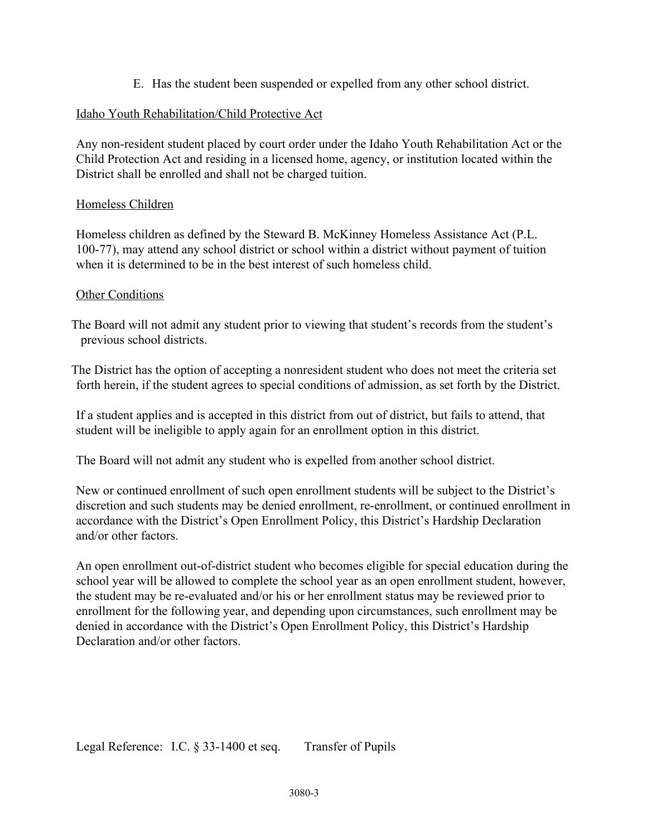E. Has the student been suspended or expelled from any other school district.

## Idaho Youth Rehabilitation/Child Protective Act

Any non-resident student placed by court order under the Idaho Youth Rehabilitation Act or the Child Protection Act and residing in a licensed home, agency, or institution located within the District shall be enrolled and shall not be charged tuition.

### Homeless Children

Homeless children as defined by the Steward B. McKinney Homeless Assistance Act (P.L. 100-77), may attend any school district or school within a district without payment of tuition when it is determined to be in the best interest of such homeless child.

#### Other Conditions

 The Board will not admit any student prior to viewing that student's records from the student's previous school districts.

The District has the option of accepting a nonresident student who does not meet the criteria set forth herein, if the student agrees to special conditions of admission, as set forth by the District.

If a student applies and is accepted in this district from out of district, but fails to attend, that student will be ineligible to apply again for an enrollment option in this district.

The Board will not admit any student who is expelled from another school district.

New or continued enrollment of such open enrollment students will be subject to the District's discretion and such students may be denied enrollment, re-enrollment, or continued enrollment in accordance with the District's Open Enrollment Policy, this District's Hardship Declaration and/or other factors.

An open enrollment out-of-district student who becomes eligible for special education during the school year will be allowed to complete the school year as an open enrollment student, however, the student may be re-evaluated and/or his or her enrollment status may be reviewed prior to enrollment for the following year, and depending upon circumstances, such enrollment may be denied in accordance with the District's Open Enrollment Policy, this District's Hardship Declaration and/or other factors.